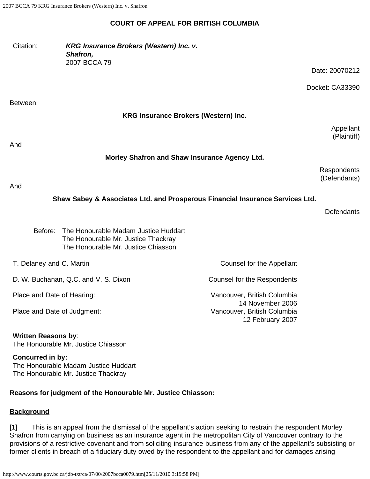#### **COURT OF APPEAL FOR BRITISH COLUMBIA**

| Citation:                            | KRG Insurance Brokers (Western) Inc. v.<br>Shafron,<br>2007 BCCA 79                                                |                                                                                                    |
|--------------------------------------|--------------------------------------------------------------------------------------------------------------------|----------------------------------------------------------------------------------------------------|
|                                      |                                                                                                                    | Date: 20070212                                                                                     |
|                                      |                                                                                                                    | Docket: CA33390                                                                                    |
| Between:                             |                                                                                                                    |                                                                                                    |
|                                      |                                                                                                                    | <b>KRG Insurance Brokers (Western) Inc.</b>                                                        |
| And                                  |                                                                                                                    | Appellant<br>(Plaintiff)                                                                           |
|                                      |                                                                                                                    | Morley Shafron and Shaw Insurance Agency Ltd.                                                      |
|                                      |                                                                                                                    | Respondents<br>(Defendants)                                                                        |
| And                                  |                                                                                                                    |                                                                                                    |
|                                      |                                                                                                                    | Shaw Sabey & Associates Ltd. and Prosperous Financial Insurance Services Ltd.<br><b>Defendants</b> |
|                                      |                                                                                                                    |                                                                                                    |
| Before:                              | The Honourable Madam Justice Huddart<br>The Honourable Mr. Justice Thackray<br>The Honourable Mr. Justice Chiasson |                                                                                                    |
| T. Delaney and C. Martin             |                                                                                                                    | Counsel for the Appellant                                                                          |
| D. W. Buchanan, Q.C. and V. S. Dixon |                                                                                                                    | Counsel for the Respondents                                                                        |
| Place and Date of Hearing:           |                                                                                                                    | Vancouver, British Columbia<br>14 November 2006                                                    |
| Place and Date of Judgment:          |                                                                                                                    | Vancouver, British Columbia<br>12 February 2007                                                    |
| <b>Written Reasons by:</b>           | The Honourable Mr. Justice Chiasson                                                                                |                                                                                                    |
| Concurred in by:                     | The Honourable Madam Justice Huddart                                                                               |                                                                                                    |

The Honourable Mr. Justice Thackray

#### **Reasons for judgment of the Honourable Mr. Justice Chiasson:**

#### **Background**

[1] This is an appeal from the dismissal of the appellant's action seeking to restrain the respondent Morley Shafron from carrying on business as an insurance agent in the metropolitan City of Vancouver contrary to the provisions of a restrictive covenant and from soliciting insurance business from any of the appellant's subsisting or former clients in breach of a fiduciary duty owed by the respondent to the appellant and for damages arising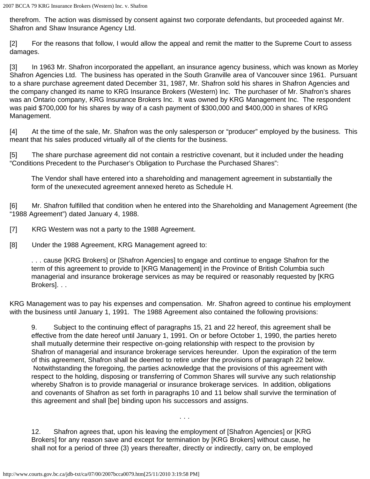therefrom. The action was dismissed by consent against two corporate defendants, but proceeded against Mr. Shafron and Shaw Insurance Agency Ltd.

[2] For the reasons that follow, I would allow the appeal and remit the matter to the Supreme Court to assess damages.

[3] In 1963 Mr. Shafron incorporated the appellant, an insurance agency business, which was known as Morley Shafron Agencies Ltd. The business has operated in the South Granville area of Vancouver since 1961. Pursuant to a share purchase agreement dated December 31, 1987, Mr. Shafron sold his shares in Shafron Agencies and the company changed its name to KRG Insurance Brokers (Western) Inc. The purchaser of Mr. Shafron's shares was an Ontario company, KRG Insurance Brokers Inc. It was owned by KRG Management Inc. The respondent was paid \$700,000 for his shares by way of a cash payment of \$300,000 and \$400,000 in shares of KRG Management.

[4] At the time of the sale, Mr. Shafron was the only salesperson or "producer" employed by the business. This meant that his sales produced virtually all of the clients for the business.

[5] The share purchase agreement did not contain a restrictive covenant, but it included under the heading "Conditions Precedent to the Purchaser's Obligation to Purchase the Purchased Shares":

The Vendor shall have entered into a shareholding and management agreement in substantially the form of the unexecuted agreement annexed hereto as Schedule H.

[6] Mr. Shafron fulfilled that condition when he entered into the Shareholding and Management Agreement (the "1988 Agreement") dated January 4, 1988.

- [7] KRG Western was not a party to the 1988 Agreement.
- [8] Under the 1988 Agreement, KRG Management agreed to:

. . . cause [KRG Brokers] or [Shafron Agencies] to engage and continue to engage Shafron for the term of this agreement to provide to [KRG Management] in the Province of British Columbia such managerial and insurance brokerage services as may be required or reasonably requested by [KRG Brokers]. . .

KRG Management was to pay his expenses and compensation. Mr. Shafron agreed to continue his employment with the business until January 1, 1991. The 1988 Agreement also contained the following provisions:

9. Subject to the continuing effect of paragraphs 15, 21 and 22 hereof, this agreement shall be effective from the date hereof until January 1, 1991. On or before October 1, 1990, the parties hereto shall mutually determine their respective on-going relationship with respect to the provision by Shafron of managerial and insurance brokerage services hereunder. Upon the expiration of the term of this agreement, Shafron shall be deemed to retire under the provisions of paragraph 22 below. Notwithstanding the foregoing, the parties acknowledge that the provisions of this agreement with respect to the holding, disposing or transferring of Common Shares will survive any such relationship whereby Shafron is to provide managerial or insurance brokerage services. In addition, obligations and covenants of Shafron as set forth in paragraphs 10 and 11 below shall survive the termination of this agreement and shall [be] binding upon his successors and assigns.

. . .

12. Shafron agrees that, upon his leaving the employment of [Shafron Agencies] or [KRG Brokers] for any reason save and except for termination by [KRG Brokers] without cause, he shall not for a period of three (3) years thereafter, directly or indirectly, carry on, be employed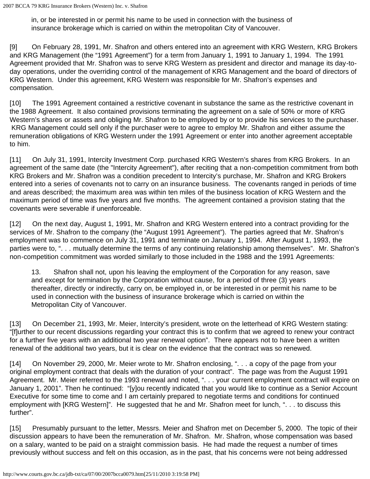in, or be interested in or permit his name to be used in connection with the business of insurance brokerage which is carried on within the metropolitan City of Vancouver.

[9] On February 28, 1991, Mr. Shafron and others entered into an agreement with KRG Western, KRG Brokers and KRG Management (the "1991 Agreement") for a term from January 1, 1991 to January 1, 1994. The 1991 Agreement provided that Mr. Shafron was to serve KRG Western as president and director and manage its day-today operations, under the overriding control of the management of KRG Management and the board of directors of KRG Western. Under this agreement, KRG Western was responsible for Mr. Shafron's expenses and compensation.

[10] The 1991 Agreement contained a restrictive covenant in substance the same as the restrictive covenant in the 1988 Agreement. It also contained provisions terminating the agreement on a sale of 50% or more of KRG Western's shares or assets and obliging Mr. Shafron to be employed by or to provide his services to the purchaser. KRG Management could sell only if the purchaser were to agree to employ Mr. Shafron and either assume the remuneration obligations of KRG Western under the 1991 Agreement or enter into another agreement acceptable to him.

[11] On July 31, 1991, Intercity Investment Corp. purchased KRG Western's shares from KRG Brokers. In an agreement of the same date (the "Intercity Agreement"), after reciting that a non-competition commitment from both KRG Brokers and Mr. Shafron was a condition precedent to Intercity's purchase, Mr. Shafron and KRG Brokers entered into a series of covenants not to carry on an insurance business. The covenants ranged in periods of time and areas described; the maximum area was within ten miles of the business location of KRG Western and the maximum period of time was five years and five months. The agreement contained a provision stating that the covenants were severable if unenforceable.

[12] On the next day, August 1, 1991, Mr. Shafron and KRG Western entered into a contract providing for the services of Mr. Shafron to the company (the "August 1991 Agreement"). The parties agreed that Mr. Shafron's employment was to commence on July 31, 1991 and terminate on January 1, 1994. After August 1, 1993, the parties were to, ". . . mutually determine the terms of any continuing relationship among themselves". Mr. Shafron's non-competition commitment was worded similarly to those included in the 1988 and the 1991 Agreements:

13. Shafron shall not, upon his leaving the employment of the Corporation for any reason, save and except for termination by the Corporation without cause, for a period of three (3) years thereafter, directly or indirectly, carry on, be employed in, or be interested in or permit his name to be used in connection with the business of insurance brokerage which is carried on within the Metropolitan City of Vancouver.

[13] On December 21, 1993, Mr. Meier, Intercity's president, wrote on the letterhead of KRG Western stating: "[f]urther to our recent discussions regarding your contract this is to confirm that we agreed to renew your contract for a further five years with an additional two year renewal option". There appears not to have been a written renewal of the additional two years, but it is clear on the evidence that the contract was so renewed.

[14] On November 29, 2000, Mr. Meier wrote to Mr. Shafron enclosing, ". . . a copy of the page from your original employment contract that deals with the duration of your contract". The page was from the August 1991 Agreement. Mr. Meier referred to the 1993 renewal and noted, ". . . your current employment contract will expire on January 1, 2001". Then he continued: "[y]ou recently indicated that you would like to continue as a Senior Account Executive for some time to come and I am certainly prepared to negotiate terms and conditions for continued employment with [KRG Western]". He suggested that he and Mr. Shafron meet for lunch, ". . . to discuss this further".

[15] Presumably pursuant to the letter, Messrs. Meier and Shafron met on December 5, 2000. The topic of their discussion appears to have been the remuneration of Mr. Shafron. Mr. Shafron, whose compensation was based on a salary, wanted to be paid on a straight commission basis. He had made the request a number of times previously without success and felt on this occasion, as in the past, that his concerns were not being addressed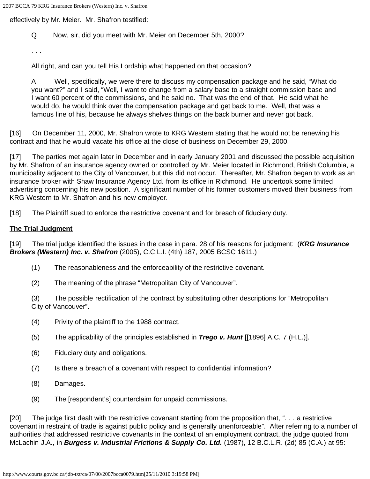2007 BCCA 79 KRG Insurance Brokers (Western) Inc. v. Shafron

effectively by Mr. Meier. Mr. Shafron testified:

Q Now, sir, did you meet with Mr. Meier on December 5th, 2000?

. . .

All right, and can you tell His Lordship what happened on that occasion?

A Well, specifically, we were there to discuss my compensation package and he said, "What do you want?" and I said, "Well, I want to change from a salary base to a straight commission base and I want 60 percent of the commissions, and he said no. That was the end of that. He said what he would do, he would think over the compensation package and get back to me. Well, that was a famous line of his, because he always shelves things on the back burner and never got back.

[16] On December 11, 2000, Mr. Shafron wrote to KRG Western stating that he would not be renewing his contract and that he would vacate his office at the close of business on December 29, 2000.

[17] The parties met again later in December and in early January 2001 and discussed the possible acquisition by Mr. Shafron of an insurance agency owned or controlled by Mr. Meier located in Richmond, British Columbia, a municipality adjacent to the City of Vancouver, but this did not occur. Thereafter, Mr. Shafron began to work as an insurance broker with Shaw Insurance Agency Ltd. from its office in Richmond. He undertook some limited advertising concerning his new position. A significant number of his former customers moved their business from KRG Western to Mr. Shafron and his new employer.

[18] The Plaintiff sued to enforce the restrictive covenant and for breach of fiduciary duty.

## **The Trial Judgment**

[19] The trial judge identified the issues in the case in para. 28 of his reasons for judgment: (*KRG Insurance Brokers (Western) Inc. v. Shafron* (2005), C.C.L.I. (4th) 187, 2005 BCSC 1611.)

- (1) The reasonableness and the enforceability of the restrictive covenant.
- (2) The meaning of the phrase "Metropolitan City of Vancouver".

(3) The possible rectification of the contract by substituting other descriptions for "Metropolitan City of Vancouver".

- (4) Privity of the plaintiff to the 1988 contract.
- (5) The applicability of the principles established in *Trego v. Hunt* [[1896] A.C. 7 (H.L.)].
- (6) Fiduciary duty and obligations.
- (7) Is there a breach of a covenant with respect to confidential information?
- (8) Damages.
- (9) The [respondent's] counterclaim for unpaid commissions.

[20] The judge first dealt with the restrictive covenant starting from the proposition that, ". . . a restrictive covenant in restraint of trade is against public policy and is generally unenforceable". After referring to a number of authorities that addressed restrictive covenants in the context of an employment contract, the judge quoted from McLachin J.A., in *Burgess v. Industrial Frictions & Supply Co. Ltd.* (1987), 12 B.C.L.R. (2d) 85 (C.A.) at 95: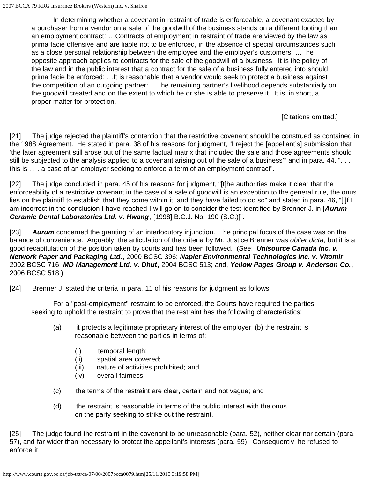In determining whether a covenant in restraint of trade is enforceable, a covenant exacted by a purchaser from a vendor on a sale of the goodwill of the business stands on a different footing than an employment contract*:* …Contracts of employment in restraint of trade are viewed by the law as prima facie offensive and are liable not to be enforced, in the absence of special circumstances such as a close personal relationship between the employee and the employer's customers: …The opposite approach applies to contracts for the sale of the goodwill of a business. It is the policy of the law and in the public interest that a contract for the sale of a business fully entered into should prima facie be enforced: …It is reasonable that a vendor would seek to protect a business against the competition of an outgoing partner: …The remaining partner's livelihood depends substantially on the goodwill created and on the extent to which he or she is able to preserve it. It is, in short, a proper matter for protection.

[Citations omitted.]

[21] The judge rejected the plaintiff's contention that the restrictive covenant should be construed as contained in the 1988 Agreement. He stated in para. 38 of his reasons for judgment, "I reject the [appellant's] submission that 'the later agreement still arose out of the same factual matrix that included the sale and those agreements should still be subjected to the analysis applied to a covenant arising out of the sale of a business" and in para. 44, "... this is . . . a case of an employer seeking to enforce a term of an employment contract".

[22] The judge concluded in para. 45 of his reasons for judgment, "[t]he authorities make it clear that the enforceability of a restrictive covenant in the case of a sale of goodwill is an exception to the general rule, the onus lies on the plaintiff to establish that they come within it, and they have failed to do so" and stated in para. 46, "[i]f I am incorrect in the conclusion I have reached I will go on to consider the test identified by Brenner J. in [*Aurum Ceramic Dental Laboratories Ltd. v. Hwang*, [1998] B.C.J. No. 190 (S.C.)]".

[23] *Aurum* concerned the granting of an interlocutory injunction. The principal focus of the case was on the balance of convenience. Arguably, the articulation of the criteria by Mr. Justice Brenner was *obiter dicta*, but it is a good recapitulation of the position taken by courts and has been followed. (See: *Unisource Canada Inc. v. Network Paper and Packaging Ltd.*, 2000 BCSC 396; *Napier Environmental Technologies Inc. v. Vitomir*, 2002 BCSC 716; *MD Management Ltd. v. Dhut*, 2004 BCSC 513; and, *Yellow Pages Group v. Anderson Co.*, 2006 BCSC 518.)

[24] Brenner J. stated the criteria in para. 11 of his reasons for judgment as follows:

 For a "post-employment" restraint to be enforced, the Courts have required the parties seeking to uphold the restraint to prove that the restraint has the following characteristics:

- (a) it protects a legitimate proprietary interest of the employer; (b) the restraint is reasonable between the parties in terms of:
	- (I) temporal length;
	- (ii) spatial area covered;
	- (iii) nature of activities prohibited; and
	- (iv) overall fairness;
- (c) the terms of the restraint are clear, certain and not vague; and
- (d) the restraint is reasonable in terms of the public interest with the onus on the party seeking to strike out the restraint.

[25] The judge found the restraint in the covenant to be unreasonable (para. 52), neither clear nor certain (para. 57), and far wider than necessary to protect the appellant's interests (para. 59). Consequently, he refused to enforce it.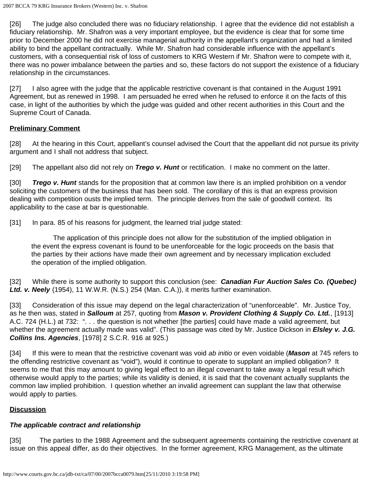[26] The judge also concluded there was no fiduciary relationship. I agree that the evidence did not establish a fiduciary relationship. Mr. Shafron was a very important employee, but the evidence is clear that for some time prior to December 2000 he did not exercise managerial authority in the appellant's organization and had a limited ability to bind the appellant contractually. While Mr. Shafron had considerable influence with the appellant's customers, with a consequential risk of loss of customers to KRG Western if Mr. Shafron were to compete with it, there was no power imbalance between the parties and so, these factors do not support the existence of a fiduciary relationship in the circumstances.

[27] I also agree with the judge that the applicable restrictive covenant is that contained in the August 1991 Agreement, but as renewed in 1998. I am persuaded he erred when he refused to enforce it on the facts of this case, in light of the authorities by which the judge was guided and other recent authorities in this Court and the Supreme Court of Canada.

## **Preliminary Comment**

[28] At the hearing in this Court, appellant's counsel advised the Court that the appellant did not pursue its privity argument and I shall not address that subject.

[29] The appellant also did not rely on *Trego v. Hunt* or rectification. I make no comment on the latter.

[30] *Trego v. Hunt* stands for the proposition that at common law there is an implied prohibition on a vendor soliciting the customers of the business that has been sold. The corollary of this is that an express provision dealing with competition ousts the implied term. The principle derives from the sale of goodwill context. Its applicability to the case at bar is questionable.

[31] In para. 85 of his reasons for judgment, the learned trial judge stated:

The application of this principle does not allow for the substitution of the implied obligation in the event the express covenant is found to be unenforceable for the logic proceeds on the basis that the parties by their actions have made their own agreement and by necessary implication excluded the operation of the implied obligation.

[32] While there is some authority to support this conclusion (see: *Canadian Fur Auction Sales Co. (Quebec) Ltd. v. Neely* (1954), 11 W.W.R. (N.S.) 254 (Man. C.A.)), it merits further examination.

[33] Consideration of this issue may depend on the legal characterization of "unenforceable". Mr. Justice Toy, as he then was, stated in *Salloum* at 257, quoting from *Mason v. Provident Clothing & Supply Co. Ltd.*, [1913] A.C. 724 (H.L.) at 732: ". . . the question is not whether [the parties] could have made a valid agreement, but whether the agreement actually made was valid". (This passage was cited by Mr. Justice Dickson in *Elsley v. J.G. Collins Ins. Agencies*, [1978] 2 S.C.R. 916 at 925.)

[34] If this were to mean that the restrictive covenant was void *ab initio* or even voidable (*Mason* at 745 refers to the offending restrictive covenant as "void"), would it continue to operate to supplant an implied obligation? It seems to me that this may amount to giving legal effect to an illegal covenant to take away a legal result which otherwise would apply to the parties; while its validity is denied, it is said that the covenant actually supplants the common law implied prohibition. I question whether an invalid agreement can supplant the law that otherwise would apply to parties.

# **Discussion**

## *The applicable contract and relationship*

[35] The parties to the 1988 Agreement and the subsequent agreements containing the restrictive covenant at issue on this appeal differ, as do their objectives. In the former agreement, KRG Management, as the ultimate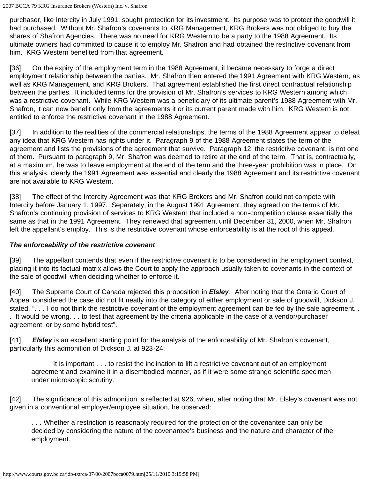2007 BCCA 79 KRG Insurance Brokers (Western) Inc. v. Shafron

purchaser, like Intercity in July 1991, sought protection for its investment. Its purpose was to protect the goodwill it had purchased. Without Mr. Shafron's covenants to KRG Management, KRG Brokers was not obliged to buy the shares of Shafron Agencies. There was no need for KRG Western to be a party to the 1988 Agreement. Its ultimate owners had committed to cause it to employ Mr. Shafron and had obtained the restrictive covenant from him. KRG Western benefited from that agreement.

[36] On the expiry of the employment term in the 1988 Agreement, it became necessary to forge a direct employment relationship between the parties. Mr. Shafron then entered the 1991 Agreement with KRG Western, as well as KRG Management, and KRG Brokers. That agreement established the first direct contractual relationship between the parties. It included terms for the provision of Mr. Shafron's services to KRG Western among which was a restrictive covenant. While KRG Western was a beneficiary of its ultimate parent's 1988 Agreement with Mr. Shafron, it can now benefit only from the agreements it or its current parent made with him. KRG Western is not entitled to enforce the restrictive covenant in the 1988 Agreement.

[37] In addition to the realities of the commercial relationships, the terms of the 1988 Agreement appear to defeat any idea that KRG Western has rights under it. Paragraph 9 of the 1988 Agreement states the term of the agreement and lists the provisions of the agreement that survive. Paragraph 12, the restrictive covenant, is not one of them. Pursuant to paragraph 9, Mr. Shafron was deemed to retire at the end of the term. That is, contractually, at a maximum, he was to leave employment at the end of the term and the three-year prohibition was in place. On this analysis, clearly the 1991 Agreement was essential and clearly the 1988 Agreement and its restrictive covenant are not available to KRG Western.

[38] The effect of the Intercity Agreement was that KRG Brokers and Mr. Shafron could not compete with Intercity before January 1, 1997. Separately, in the August 1991 Agreement, they agreed on the terms of Mr. Shafron's continuing provision of services to KRG Western that included a non-competition clause essentially the same as that in the 1991 Agreement. They renewed that agreement until December 31, 2000, when Mr. Shafron left the appellant's employ. This is the restrictive covenant whose enforceability is at the root of this appeal.

## *The enforceability of the restrictive covenant*

[39] The appellant contends that even if the restrictive covenant is to be considered in the employment context, placing it into its factual matrix allows the Court to apply the approach usually taken to covenants in the context of the sale of goodwill when deciding whether to enforce it.

[40] The Supreme Court of Canada rejected this proposition in *Elsley*. After noting that the Ontario Court of Appeal considered the case did not fit neatly into the category of either employment or sale of goodwill, Dickson J. stated, ". . . I do not think the restrictive covenant of the employment agreement can be fed by the sale agreement. . . It would be wrong. . . to test that agreement by the criteria applicable in the case of a vendor/purchaser agreement, or by some hybrid test".

[41] *Elsley* is an excellent starting point for the analysis of the enforceability of Mr. Shafron's covenant, particularly this admonition of Dickson J. at 923-24:

 It is important . . . to resist the inclination to lift a restrictive covenant out of an employment agreement and examine it in a disembodied manner, as if it were some strange scientific specimen under microscopic scrutiny.

[42] The significance of this admonition is reflected at 926, when, after noting that Mr. Elsley's covenant was not given in a conventional employer/employee situation, he observed:

. . . Whether a restriction is reasonably required for the protection of the covenantee can only be decided by considering the nature of the covenantee's business and the nature and character of the employment.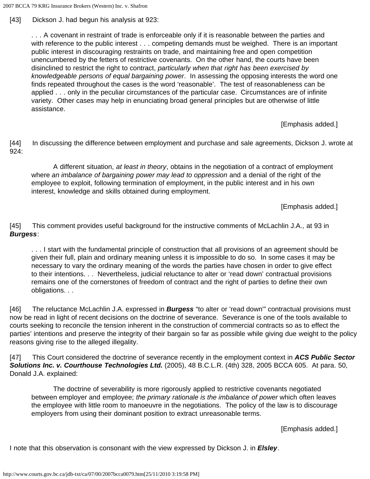2007 BCCA 79 KRG Insurance Brokers (Western) Inc. v. Shafron

[43] Dickson J. had begun his analysis at 923:

. . . A covenant in restraint of trade is enforceable only if it is reasonable between the parties and with reference to the public interest . . . competing demands must be weighed. There is an important public interest in discouraging restraints on trade, and maintaining free and open competition unencumbered by the fetters of restrictive covenants. On the other hand, the courts have been disinclined to restrict the right to contract, *particularly when that right has been exercised by knowledgeable persons of equal bargaining power*. In assessing the opposing interests the word one finds repeated throughout the cases is the word 'reasonable'. The test of reasonableness can be applied . . . only in the peculiar circumstances of the particular case. Circumstances are of infinite variety. Other cases may help in enunciating broad general principles but are otherwise of little assistance.

[Emphasis added.]

[44] In discussing the difference between employment and purchase and sale agreements, Dickson J. wrote at 924:

 A different situation, *at least in theory*, obtains in the negotiation of a contract of employment where *an imbalance of bargaining power may lead to oppression* and a denial of the right of the employee to exploit, following termination of employment, in the public interest and in his own interest, knowledge and skills obtained during employment.

[Emphasis added.]

[45] This comment provides useful background for the instructive comments of McLachlin J.A., at 93 in *Burgess*:

. . . I start with the fundamental principle of construction that all provisions of an agreement should be given their full, plain and ordinary meaning unless it is impossible to do so. In some cases it may be necessary to vary the ordinary meaning of the words the parties have chosen in order to give effect to their intentions. . . Nevertheless, judicial reluctance to alter or 'read down' contractual provisions remains one of the cornerstones of freedom of contract and the right of parties to define their own obligations. . .

[46] The reluctance McLachlin J.A. expressed in *Burgess* "to alter or 'read down'" contractual provisions must now be read in light of recent decisions on the doctrine of severance. Severance is one of the tools available to courts seeking to reconcile the tension inherent in the construction of commercial contracts so as to effect the parties' intentions and preserve the integrity of their bargain so far as possible while giving due weight to the policy reasons giving rise to the alleged illegality.

[47] This Court considered the doctrine of severance recently in the employment context in *ACS Public Sector Solutions Inc. v. Courthouse Technologies Ltd.* (2005), 48 B.C.L.R. (4th) 328, 2005 BCCA 605. At para. 50, Donald J.A. explained:

 The doctrine of severability is more rigorously applied to restrictive covenants negotiated between employer and employee; *the primary rationale is the imbalance of power* which often leaves the employee with little room to manoeuvre in the negotiations. The policy of the law is to discourage employers from using their dominant position to extract unreasonable terms.

[Emphasis added.]

I note that this observation is consonant with the view expressed by Dickson J. in *Elsley*.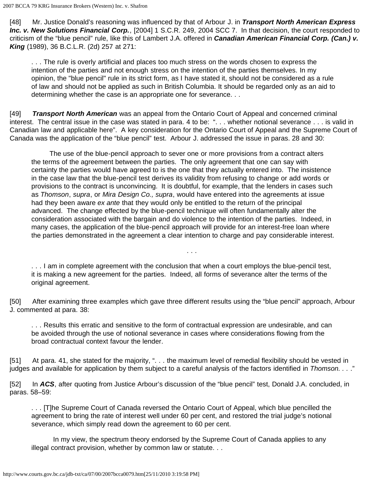[48] Mr. Justice Donald's reasoning was influenced by that of Arbour J. in *Transport North American Express Inc. v. New Solutions Financial Corp.*, [2004] 1 S.C.R. 249, 2004 SCC 7. In that decision, the court responded to criticism of the "blue pencil" rule, like this of Lambert J.A. offered in *Canadian American Financial Corp. (Can.) v. King* (1989), 36 B.C.L.R. (2d) 257 at 271:

. . . The rule is overly artificial and places too much stress on the words chosen to express the intention of the parties and not enough stress on the intention of the parties themselves. In my opinion, the "blue pencil" rule in its strict form, as I have stated it, should not be considered as a rule of law and should not be applied as such in British Columbia. It should be regarded only as an aid to determining whether the case is an appropriate one for severance. . .

[49] *Transport North American* was an appeal from the Ontario Court of Appeal and concerned criminal interest. The central issue in the case was stated in para. 4 to be: ". . . whether notional severance . . . is valid in Canadian law and applicable here". A key consideration for the Ontario Court of Appeal and the Supreme Court of Canada was the application of the "blue pencil" test. Arbour J. addressed the issue in paras. 28 and 30:

The use of the blue-pencil approach to sever one or more provisions from a contract alters the terms of the agreement between the parties. The only agreement that one can say with certainty the parties would have agreed to is the one that they actually entered into. The insistence in the case law that the blue-pencil test derives its validity from refusing to change or add words or provisions to the contract is unconvincing. It is doubtful, for example, that the lenders in cases such as *Thomson*, *supra*, or *Mira Design Co., supra*, would have entered into the agreements at issue had they been aware *ex ante* that they would only be entitled to the return of the principal advanced. The change effected by the blue-pencil technique will often fundamentally alter the consideration associated with the bargain and do violence to the intention of the parties. Indeed, in many cases, the application of the blue-pencil approach will provide for an interest-free loan where the parties demonstrated in the agreement a clear intention to charge and pay considerable interest.

... I am in complete agreement with the conclusion that when a court employs the blue-pencil test, it is making a new agreement for the parties. Indeed, all forms of severance alter the terms of the original agreement.

. . .

[50] After examining three examples which gave three different results using the "blue pencil" approach, Arbour J. commented at para. 38:

. . . Results this erratic and sensitive to the form of contractual expression are undesirable, and can be avoided through the use of notional severance in cases where considerations flowing from the broad contractual context favour the lender.

[51] At para. 41, she stated for the majority, ". . . the maximum level of remedial flexibility should be vested in judges and available for application by them subject to a careful analysis of the factors identified in *Thomson. . .* ."

[52] In *ACS*, after quoting from Justice Arbour's discussion of the "blue pencil" test, Donald J.A. concluded, in paras. 58–59:

. . . [T]he Supreme Court of Canada reversed the Ontario Court of Appeal, which blue pencilled the agreement to bring the rate of interest well under 60 per cent, and restored the trial judge's notional severance, which simply read down the agreement to 60 per cent.

 In my view, the spectrum theory endorsed by the Supreme Court of Canada applies to any illegal contract provision, whether by common law or statute. . .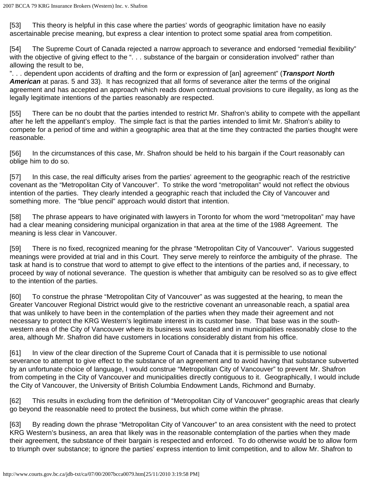[53] This theory is helpful in this case where the parties' words of geographic limitation have no easily ascertainable precise meaning, but express a clear intention to protect some spatial area from competition.

[54] The Supreme Court of Canada rejected a narrow approach to severance and endorsed "remedial flexibility" with the objective of giving effect to the ". . . substance of the bargain or consideration involved" rather than allowing the result to be,

". . . dependent upon accidents of drafting and the form or expression of [an] agreement" (*Transport North* American at paras. 5 and 33). It has recognized that all forms of severance alter the terms of the original agreement and has accepted an approach which reads down contractual provisions to cure illegality, as long as the legally legitimate intentions of the parties reasonably are respected.

[55] There can be no doubt that the parties intended to restrict Mr. Shafron's ability to compete with the appellant after he left the appellant's employ. The simple fact is that the parties intended to limit Mr. Shafron's ability to compete for a period of time and within a geographic area that at the time they contracted the parties thought were reasonable.

[56] In the circumstances of this case, Mr. Shafron should be held to his bargain if the Court reasonably can oblige him to do so.

[57] In this case, the real difficulty arises from the parties' agreement to the geographic reach of the restrictive covenant as the "Metropolitan City of Vancouver". To strike the word "metropolitan" would not reflect the obvious intention of the parties. They clearly intended a geographic reach that included the City of Vancouver and something more. The "blue pencil" approach would distort that intention.

[58] The phrase appears to have originated with lawyers in Toronto for whom the word "metropolitan" may have had a clear meaning considering municipal organization in that area at the time of the 1988 Agreement. The meaning is less clear in Vancouver.

[59] There is no fixed, recognized meaning for the phrase "Metropolitan City of Vancouver". Various suggested meanings were provided at trial and in this Court. They serve merely to reinforce the ambiguity of the phrase. The task at hand is to construe that word to attempt to give effect to the intentions of the parties and, if necessary, to proceed by way of notional severance. The question is whether that ambiguity can be resolved so as to give effect to the intention of the parties.

[60] To construe the phrase "Metropolitan City of Vancouver" as was suggested at the hearing, to mean the Greater Vancouver Regional District would give to the restrictive covenant an unreasonable reach, a spatial area that was unlikely to have been in the contemplation of the parties when they made their agreement and not necessary to protect the KRG Western's legitimate interest in its customer base. That base was in the southwestern area of the City of Vancouver where its business was located and in municipalities reasonably close to the area, although Mr. Shafron did have customers in locations considerably distant from his office.

[61] In view of the clear direction of the Supreme Court of Canada that it is permissible to use notional severance to attempt to give effect to the substance of an agreement and to avoid having that substance subverted by an unfortunate choice of language, I would construe "Metropolitan City of Vancouver" to prevent Mr. Shafron from competing in the City of Vancouver and municipalities directly contiguous to it. Geographically, I would include the City of Vancouver, the University of British Columbia Endowment Lands, Richmond and Burnaby.

[62] This results in excluding from the definition of "Metropolitan City of Vancouver" geographic areas that clearly go beyond the reasonable need to protect the business, but which come within the phrase.

[63] By reading down the phrase "Metropolitan City of Vancouver" to an area consistent with the need to protect KRG Western's business, an area that likely was in the reasonable contemplation of the parties when they made their agreement, the substance of their bargain is respected and enforced. To do otherwise would be to allow form to triumph over substance; to ignore the parties' express intention to limit competition, and to allow Mr. Shafron to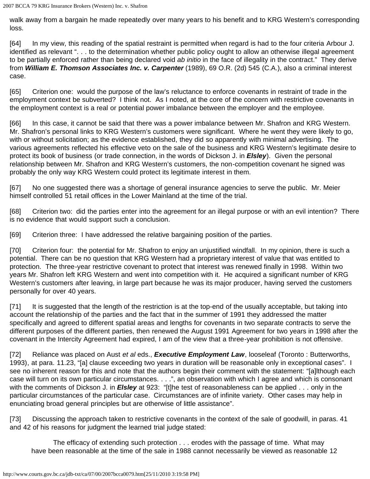walk away from a bargain he made repeatedly over many years to his benefit and to KRG Western's corresponding loss.

[64] In my view, this reading of the spatial restraint is permitted when regard is had to the four criteria Arbour J. identified as relevant ". . . to the determination whether public policy ought to allow an otherwise illegal agreement to be partially enforced rather than being declared void *ab initio* in the face of illegality in the contract." They derive from *William E. Thomson Associates Inc. v. Carpenter* (1989), 69 O.R. (2d) 545 (C.A.), also a criminal interest case.

[65] Criterion one: would the purpose of the law's reluctance to enforce covenants in restraint of trade in the employment context be subverted? I think not. As I noted, at the core of the concern with restrictive covenants in the employment context is a real or potential power imbalance between the employer and the employee.

[66] In this case, it cannot be said that there was a power imbalance between Mr. Shafron and KRG Western. Mr. Shafron's personal links to KRG Western's customers were significant. Where he went they were likely to go, with or without solicitation; as the evidence established, they did so apparently with minimal advertising. The various agreements reflected his effective veto on the sale of the business and KRG Western's legitimate desire to protect its book of business (or trade connection, in the words of Dickson J. in *Elsley*). Given the personal relationship between Mr. Shafron and KRG Western's customers, the non-competition covenant he signed was probably the only way KRG Western could protect its legitimate interest in them*.* 

[67] No one suggested there was a shortage of general insurance agencies to serve the public. Mr. Meier himself controlled 51 retail offices in the Lower Mainland at the time of the trial.

[68] Criterion two: did the parties enter into the agreement for an illegal purpose or with an evil intention? There is no evidence that would support such a conclusion.

[69] Criterion three: I have addressed the relative bargaining position of the parties.

[70] Criterion four: the potential for Mr. Shafron to enjoy an unjustified windfall. In my opinion, there is such a potential. There can be no question that KRG Western had a proprietary interest of value that was entitled to protection. The three-year restrictive covenant to protect that interest was renewed finally in 1998. Within two years Mr. Shafron left KRG Western and went into competition with it. He acquired a significant number of KRG Western's customers after leaving, in large part because he was its major producer, having served the customers personally for over 40 years.

[71] It is suggested that the length of the restriction is at the top-end of the usually acceptable, but taking into account the relationship of the parties and the fact that in the summer of 1991 they addressed the matter specifically and agreed to different spatial areas and lengths for covenants in two separate contracts to serve the different purposes of the different parties, then renewed the August 1991 Agreement for two years in 1998 after the covenant in the Intercity Agreement had expired, I am of the view that a three-year prohibition is not offensive.

[72] Reliance was placed on Aust *et al* eds., *Executive Employment Law*, looseleaf (Toronto : Butterworths, 1993), at para. 11.23, "[a] clause exceeding two years in duration will be reasonable only in exceptional cases". I see no inherent reason for this and note that the authors begin their comment with the statement: "[a]lthough each case will turn on its own particular circumstances. . . .", an observation with which I agree and which is consonant with the comments of Dickson J. in *Elsley* at 923: "[t]he test of reasonableness can be applied . . . only in the particular circumstances of the particular case. Circumstances are of infinite variety. Other cases may help in enunciating broad general principles but are otherwise of little assistance".

[73] Discussing the approach taken to restrictive covenants in the context of the sale of goodwill, in paras. 41 and 42 of his reasons for judgment the learned trial judge stated:

The efficacy of extending such protection . . . erodes with the passage of time. What may have been reasonable at the time of the sale in 1988 cannot necessarily be viewed as reasonable 12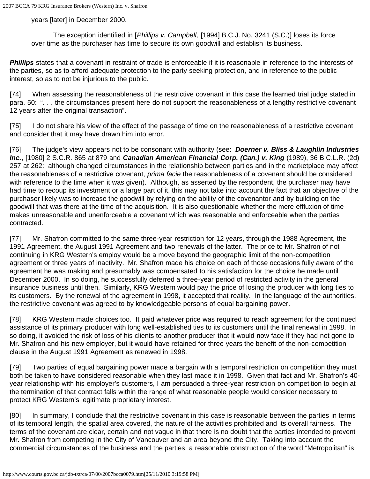years [later] in December 2000.

The exception identified in [*Phillips v. Campbell*, [1994] B.C.J. No. 3241 (S.C.)] loses its force over time as the purchaser has time to secure its own goodwill and establish its business.

*Phillips* states that a covenant in restraint of trade is enforceable if it is reasonable in reference to the interests of the parties, so as to afford adequate protection to the party seeking protection, and in reference to the public interest, so as to not be injurious to the public.

[74] When assessing the reasonableness of the restrictive covenant in this case the learned trial judge stated in para. 50: ". . . the circumstances present here do not support the reasonableness of a lengthy restrictive covenant 12 years after the original transaction".

[75] I do not share his view of the effect of the passage of time on the reasonableness of a restrictive covenant and consider that it may have drawn him into error.

[76] The judge's view appears not to be consonant with authority (see: *Doerner v. Bliss & Laughlin Industries* Inc., [1980] 2 S.C.R. 865 at 879 and *Canadian American Financial Corp. (Can.) v. King (1989)*, 36 B.C.L.R. (2d) 257 at 262: although changed circumstances in the relationship between parties and in the marketplace may affect the reasonableness of a restrictive covenant, *prima facie* the reasonableness of a covenant should be considered with reference to the time when it was given). Although, as asserted by the respondent, the purchaser may have had time to recoup its investment or a large part of it, this may not take into account the fact that an objective of the purchaser likely was to increase the goodwill by relying on the ability of the covenantor and by building on the goodwill that was there at the time of the acquisition. It is also questionable whether the mere effluxion of time makes unreasonable and unenforceable a covenant which was reasonable and enforceable when the parties contracted.

[77] Mr. Shafron committed to the same three-year restriction for 12 years, through the 1988 Agreement, the 1991 Agreement, the August 1991 Agreement and two renewals of the latter. The price to Mr. Shafron of not continuing in KRG Western's employ would be a move beyond the geographic limit of the non-competition agreement or three years of inactivity. Mr. Shafron made his choice on each of those occasions fully aware of the agreement he was making and presumably was compensated to his satisfaction for the choice he made until December 2000. In so doing, he successfully deferred a three-year period of restricted activity in the general insurance business until then. Similarly, KRG Western would pay the price of losing the producer with long ties to its customers. By the renewal of the agreement in 1998, it accepted that reality. In the language of the authorities, the restrictive covenant was agreed to by knowledgeable persons of equal bargaining power.

[78] KRG Western made choices too. It paid whatever price was required to reach agreement for the continued assistance of its primary producer with long well-established ties to its customers until the final renewal in 1998. In so doing, it avoided the risk of loss of his clients to another producer that it would now face if they had not gone to Mr. Shafron and his new employer, but it would have retained for three years the benefit of the non-competition clause in the August 1991 Agreement as renewed in 1998.

[79] Two parties of equal bargaining power made a bargain with a temporal restriction on competition they must both be taken to have considered reasonable when they last made it in 1998. Given that fact and Mr. Shafron's 40 year relationship with his employer's customers, I am persuaded a three-year restriction on competition to begin at the termination of that contract falls within the range of what reasonable people would consider necessary to protect KRG Western's legitimate proprietary interest.

[80] In summary, I conclude that the restrictive covenant in this case is reasonable between the parties in terms of its temporal length, the spatial area covered, the nature of the activities prohibited and its overall fairness. The terms of the covenant are clear, certain and not vague in that there is no doubt that the parties intended to prevent Mr. Shafron from competing in the City of Vancouver and an area beyond the City. Taking into account the commercial circumstances of the business and the parties, a reasonable construction of the word "Metropolitan" is